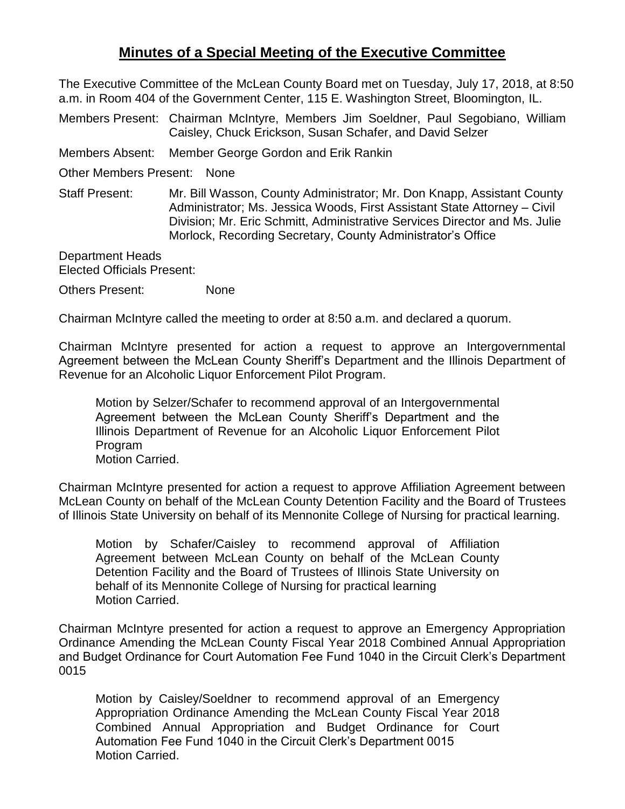## **Minutes of a Special Meeting of the Executive Committee**

The Executive Committee of the McLean County Board met on Tuesday, July 17, 2018, at 8:50 a.m. in Room 404 of the Government Center, 115 E. Washington Street, Bloomington, IL.

Members Present: Chairman McIntyre, Members Jim Soeldner, Paul Segobiano, William Caisley, Chuck Erickson, Susan Schafer, and David Selzer

Members Absent: Member George Gordon and Erik Rankin

Other Members Present: None

Staff Present: Mr. Bill Wasson, County Administrator; Mr. Don Knapp, Assistant County Administrator; Ms. Jessica Woods, First Assistant State Attorney – Civil Division; Mr. Eric Schmitt, Administrative Services Director and Ms. Julie Morlock, Recording Secretary, County Administrator's Office

Department Heads Elected Officials Present:

Others Present: None

Chairman McIntyre called the meeting to order at 8:50 a.m. and declared a quorum.

Chairman McIntyre presented for action a request to approve an Intergovernmental Agreement between the McLean County Sheriff's Department and the Illinois Department of Revenue for an Alcoholic Liquor Enforcement Pilot Program.

Motion by Selzer/Schafer to recommend approval of an Intergovernmental Agreement between the McLean County Sheriff's Department and the Illinois Department of Revenue for an Alcoholic Liquor Enforcement Pilot Program Motion Carried.

Chairman McIntyre presented for action a request to approve Affiliation Agreement between McLean County on behalf of the McLean County Detention Facility and the Board of Trustees of Illinois State University on behalf of its Mennonite College of Nursing for practical learning.

Motion by Schafer/Caisley to recommend approval of Affiliation Agreement between McLean County on behalf of the McLean County Detention Facility and the Board of Trustees of Illinois State University on behalf of its Mennonite College of Nursing for practical learning Motion Carried.

Chairman McIntyre presented for action a request to approve an Emergency Appropriation Ordinance Amending the McLean County Fiscal Year 2018 Combined Annual Appropriation and Budget Ordinance for Court Automation Fee Fund 1040 in the Circuit Clerk's Department 0015

Motion by Caisley/Soeldner to recommend approval of an Emergency Appropriation Ordinance Amending the McLean County Fiscal Year 2018 Combined Annual Appropriation and Budget Ordinance for Court Automation Fee Fund 1040 in the Circuit Clerk's Department 0015 Motion Carried.